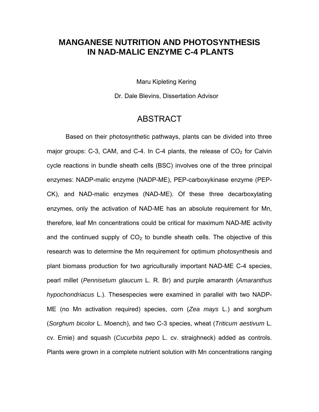## **MANGANESE NUTRITION AND PHOTOSYNTHESIS IN NAD-MALIC ENZYME C-4 PLANTS**

Maru Kipleting Kering

Dr. Dale Blevins, Dissertation Advisor

## ABSTRACT

Based on their photosynthetic pathways, plants can be divided into three major groups: C-3, CAM, and C-4. In C-4 plants, the release of  $CO<sub>2</sub>$  for Calvin cycle reactions in bundle sheath cells (BSC) involves one of the three principal enzymes: NADP-malic enzyme (NADP-ME), PEP-carboxykinase enzyme (PEP-CK), and NAD-malic enzymes (NAD-ME). Of these three decarboxylating enzymes, only the activation of NAD-ME has an absolute requirement for Mn, therefore, leaf Mn concentrations could be critical for maximum NAD-ME activity and the continued supply of  $CO<sub>2</sub>$  to bundle sheath cells. The objective of this research was to determine the Mn requirement for optimum photosynthesis and plant biomass production for two agriculturally important NAD-ME C-4 species, pearl millet (*Pennisetum glaucum* L. R. Br) and purple amaranth (*Amaranthus hypochondriacus* L.). Thesespecies were examined in parallel with two NADP-ME (no Mn activation required) species, corn (*Zea mays* L.) and sorghum (*Sorghum bicolor* L. Moench), and two C-3 species, wheat (*Triticum aestivum* L. cv. Ernie) and squash (*Cucurbita pepo* L. cv. straighneck) added as controls. Plants were grown in a complete nutrient solution with Mn concentrations ranging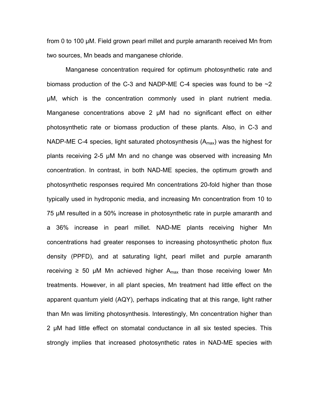from 0 to 100 µM. Field grown pearl millet and purple amaranth received Mn from two sources, Mn beads and manganese chloride.

Manganese concentration required for optimum photosynthetic rate and biomass production of the C-3 and NADP-ME C-4 species was found to be  $\sim$ 2 μM, which is the concentration commonly used in plant nutrient media. Manganese concentrations above 2 µM had no significant effect on either photosynthetic rate or biomass production of these plants. Also, in C-3 and NADP-ME C-4 species, light saturated photosynthesis  $(A<sub>max</sub>)$  was the highest for plants receiving 2-5 μM Mn and no change was observed with increasing Mn concentration. In contrast, in both NAD-ME species, the optimum growth and photosynthetic responses required Mn concentrations 20-fold higher than those typically used in hydroponic media, and increasing Mn concentration from 10 to 75 µM resulted in a 50% increase in photosynthetic rate in purple amaranth and a 36% increase in pearl millet. NAD-ME plants receiving higher Mn concentrations had greater responses to increasing photosynthetic photon flux density (PPFD), and at saturating light, pearl millet and purple amaranth receiving  $\geq$  50 μM Mn achieved higher A<sub>max</sub> than those receiving lower Mn treatments. However, in all plant species, Mn treatment had little effect on the apparent quantum yield (AQY), perhaps indicating that at this range, light rather than Mn was limiting photosynthesis. Interestingly, Mn concentration higher than 2 μM had little effect on stomatal conductance in all six tested species. This strongly implies that increased photosynthetic rates in NAD-ME species with